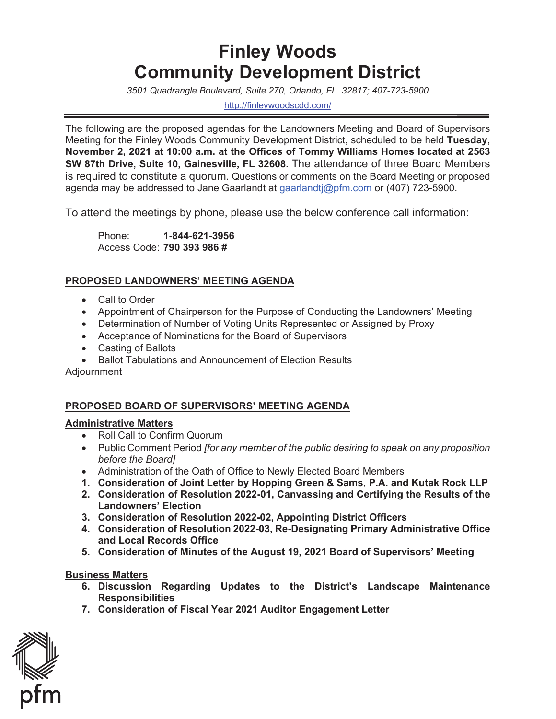# **Finley Woods Community Development District**

*3501 Quadrangle Boulevard, Suite 270, Orlando, FL 32817; 407-723-5900* 

<http://finleywoodscdd.com>/

The following are the proposed agendas for the Landowners Meeting and Board of Supervisors Meeting for the Finley Woods Community Development District, scheduled to be held **Tuesday, November 2, 2021 at 10:00 a.m. at the Offices of Tommy Williams Homes located at 2563 SW 87th Drive, Suite 10, Gainesville, FL 32608.** The attendance of three Board Members is required to constitute a quorum. Questions or comments on the Board Meeting or proposed agenda may be addressed to Jane Gaarlandt at [gaarlandtj@pfm.com](mailto:gaarlandtj@pfm.com) or (407) 723-5900.

To attend the meetings by phone, please use the below conference call information:

Phone: Phone: **1-844-621-3956**  Access Code: **790 393 986 #** 

## **PROPOSED LANDOWNERS' MEETING AGENDA**

- Call to Order
- Appointment of Chairperson for the Purpose of Conducting the Landowners' Meeting
- Determination of Number of Voting Units Represented or Assigned by Proxy
- Acceptance of Nominations for the Board of Supervisors
- Casting of Ballots
- x Ballot Tabulations and Announcement of Election Results

Adjournment

## **PROPOSED BOARD OF SUPERVISORS' MEETING AGENDA**

## **Administrative Matters**

- Roll Call to Confirm Quorum
- Public Comment Period *[for any member of the public desiring to speak on any proposition before the Board]*
- Administration of the Oath of Office to Newly Elected Board Members
- **1. Consideration of Joint Letter by Hopping Green & Sams, P.A. and Kutak Rock LLP**
- **2. Consideration of Resolution 2022-01, Canvassing and Certifying the Results of the Landowners' Election**
- **3. Consideration of Resolution 2022-02, Appointing District Officers**
- **4. Consideration of Resolution 2022-03, Re-Designating Primary Administrative Office and Local Records Office**
- **5. Consideration of Minutes of the August 19, 2021 Board of Supervisors' Meeting**

#### **Business Matters**

- **6. Discussion Regarding Updates to the District's Landscape Maintenance Responsibilities**
- **7. Consideration of Fiscal Year 2021 Auditor Engagement Letter**